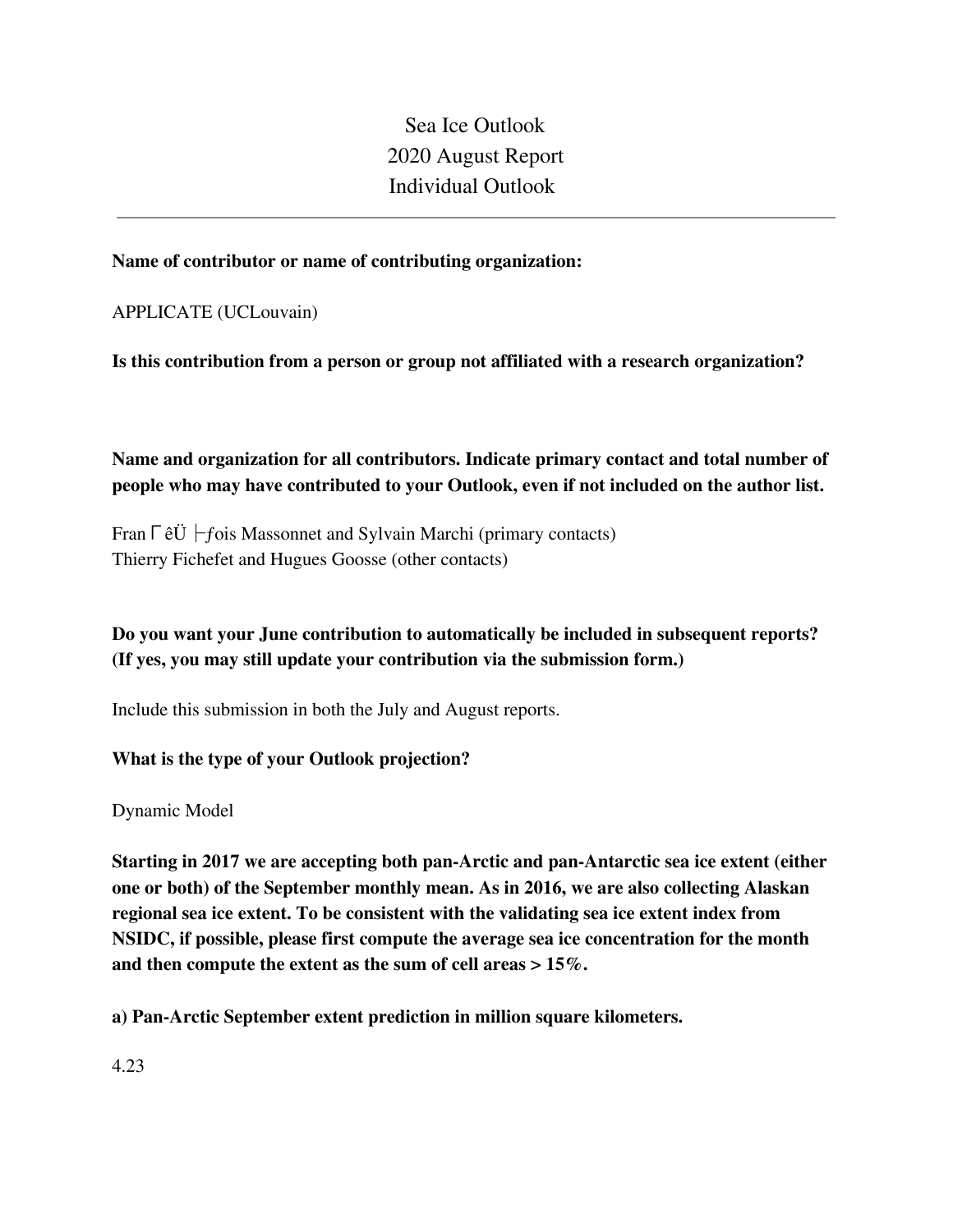Sea Ice Outlook 2020 August Report Individual Outlook

### **Name of contributor or name of contributing organization:**

APPLICATE (UCLouvain)

**Is this contribution from a person or group not affiliated with a research organization?** 

**Name and organization for all contributors. Indicate primary contact and total number of people who may have contributed to your Outlook, even if not included on the author list.**

Fran √ - fois Massonnet and Sylvain Marchi (primary contacts) Thierry Fichefet and Hugues Goosse (other contacts)

**Do you want your June contribution to automatically be included in subsequent reports? (If yes, you may still update your contribution via the submission form.)**

Include this submission in both the July and August reports.

### **What is the type of your Outlook projection?**

Dynamic Model

**Starting in 2017 we are accepting both pan-Arctic and pan-Antarctic sea ice extent (either one or both) of the September monthly mean. As in 2016, we are also collecting Alaskan regional sea ice extent. To be consistent with the validating sea ice extent index from NSIDC, if possible, please first compute the average sea ice concentration for the month and then compute the extent as the sum of cell areas > 15%.**

**a) Pan-Arctic September extent prediction in million square kilometers.**

4.23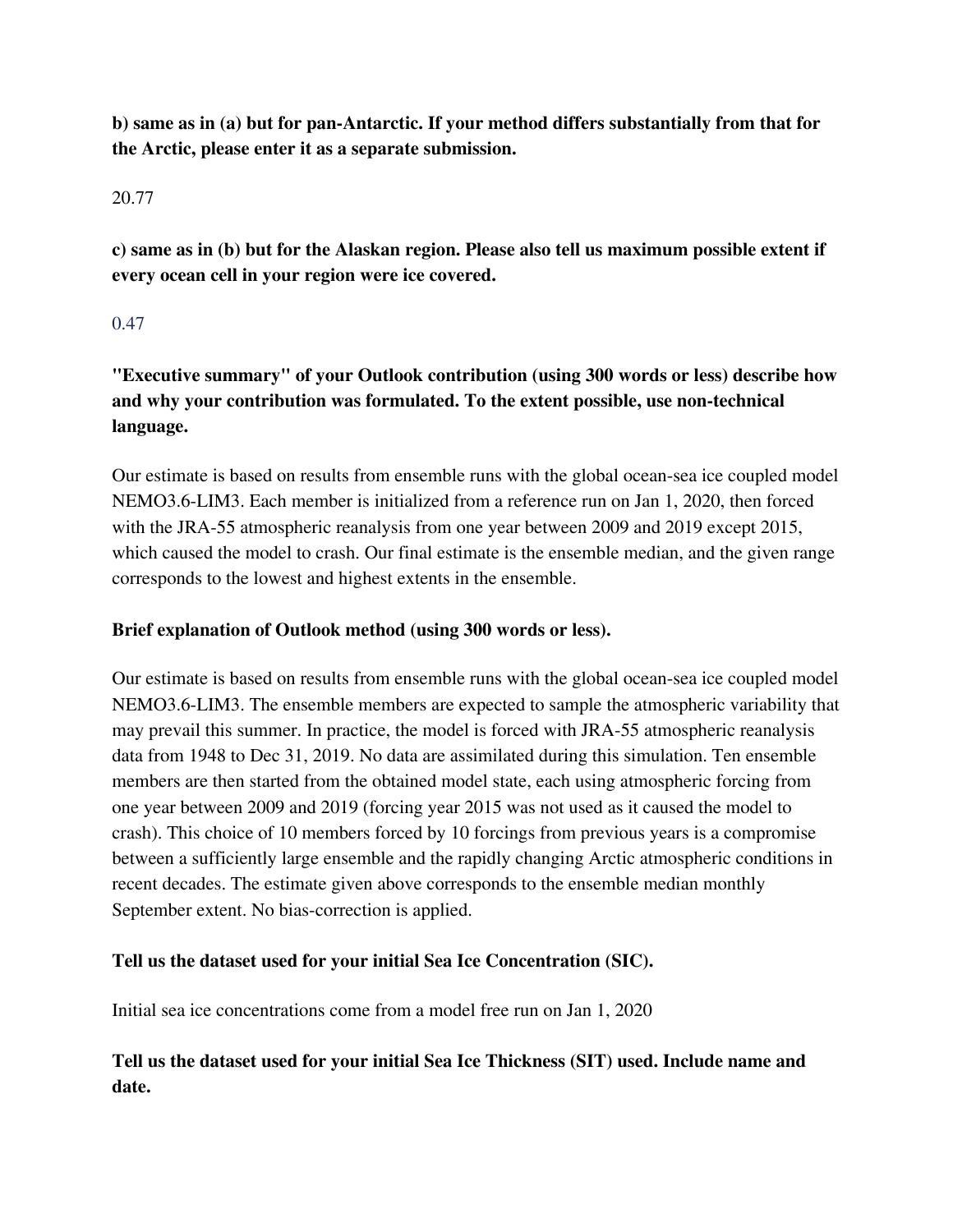**b) same as in (a) but for pan-Antarctic. If your method differs substantially from that for the Arctic, please enter it as a separate submission.**

### 20.77

**c) same as in (b) but for the Alaskan region. Please also tell us maximum possible extent if every ocean cell in your region were ice covered.**

### 0.47

**"Executive summary" of your Outlook contribution (using 300 words or less) describe how and why your contribution was formulated. To the extent possible, use non-technical language.**

Our estimate is based on results from ensemble runs with the global ocean-sea ice coupled model NEMO3.6-LIM3. Each member is initialized from a reference run on Jan 1, 2020, then forced with the JRA-55 atmospheric reanalysis from one year between 2009 and 2019 except 2015, which caused the model to crash. Our final estimate is the ensemble median, and the given range corresponds to the lowest and highest extents in the ensemble.

## **Brief explanation of Outlook method (using 300 words or less).**

Our estimate is based on results from ensemble runs with the global ocean-sea ice coupled model NEMO3.6-LIM3. The ensemble members are expected to sample the atmospheric variability that may prevail this summer. In practice, the model is forced with JRA-55 atmospheric reanalysis data from 1948 to Dec 31, 2019. No data are assimilated during this simulation. Ten ensemble members are then started from the obtained model state, each using atmospheric forcing from one year between 2009 and 2019 (forcing year 2015 was not used as it caused the model to crash). This choice of 10 members forced by 10 forcings from previous years is a compromise between a sufficiently large ensemble and the rapidly changing Arctic atmospheric conditions in recent decades. The estimate given above corresponds to the ensemble median monthly September extent. No bias-correction is applied.

## **Tell us the dataset used for your initial Sea Ice Concentration (SIC).**

Initial sea ice concentrations come from a model free run on Jan 1, 2020

# **Tell us the dataset used for your initial Sea Ice Thickness (SIT) used. Include name and date.**